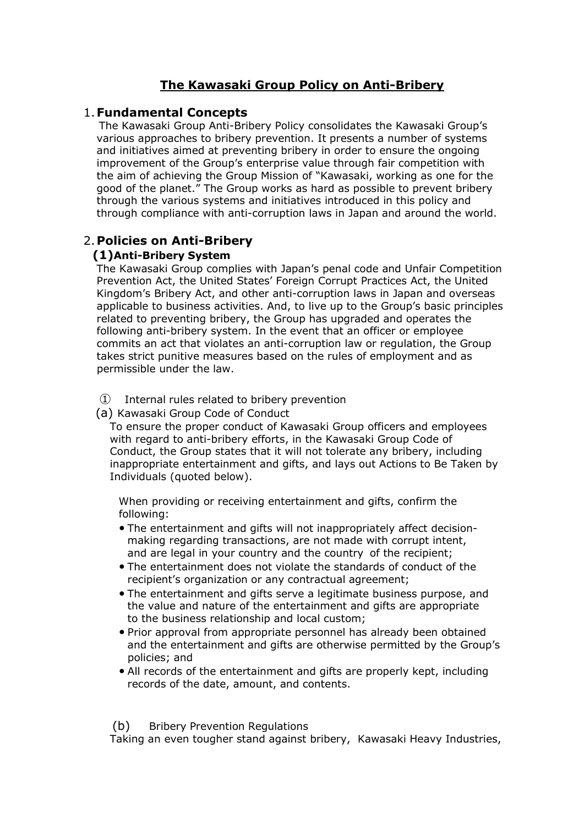# **The Kawasaki Group Policy on Anti-Bribery**

# 1.**Fundamental Concepts**

The Kawasaki Group Anti-Bribery Policy consolidates the Kawasaki Group's various approaches to bribery prevention. It presents a number of systems and initiatives aimed at preventing bribery in order to ensure the ongoing improvement of the Group's enterprise value through fair competition with the aim of achieving the Group Mission of "Kawasaki, working as one for the good of the planet." The Group works as hard as possible to prevent bribery through the various systems and initiatives introduced in this policy and through compliance with anti-corruption laws in Japan and around the world.

# 2.**Policies on Anti-Bribery**

## **(1)Anti-Bribery System**

The Kawasaki Group complies with Japan's penal code and Unfair Competition Prevention Act, the United States' Foreign Corrupt Practices Act, the United Kingdom's Bribery Act, and other anti-corruption laws in Japan and overseas applicable to business activities. And, to live up to the Group's basic principles related to preventing bribery, the Group has upgraded and operates the following anti-bribery system. In the event that an officer or employee commits an act that violates an anti-corruption law or regulation, the Group takes strict punitive measures based on the rules of employment and as permissible under the law.

① Internal rules related to bribery prevention

(a) Kawasaki Group Code of Conduct

To ensure the proper conduct of Kawasaki Group officers and employees with regard to anti-bribery efforts, in the Kawasaki Group Code of Conduct, the Group states that it will not tolerate any bribery, including inappropriate entertainment and gifts, and lays out Actions to Be Taken by Individuals (quoted below).

When providing or receiving entertainment and gifts, confirm the following:

- The entertainment and gifts will not inappropriately affect decisionmaking regarding transactions, are not made with corrupt intent, and are legal in your country and the country of the recipient;
- The entertainment does not violate the standards of conduct of the recipient's organization or any contractual agreement;
- The entertainment and gifts serve a legitimate business purpose, and the value and nature of the entertainment and gifts are appropriate to the business relationship and local custom;
- Prior approval from appropriate personnel has already been obtained and the entertainment and gifts are otherwise permitted by the Group's policies; and
- All records of the entertainment and gifts are properly kept, including records of the date, amount, and contents.

(b) Bribery Prevention Regulations

Taking an even tougher stand against bribery, Kawasaki Heavy Industries,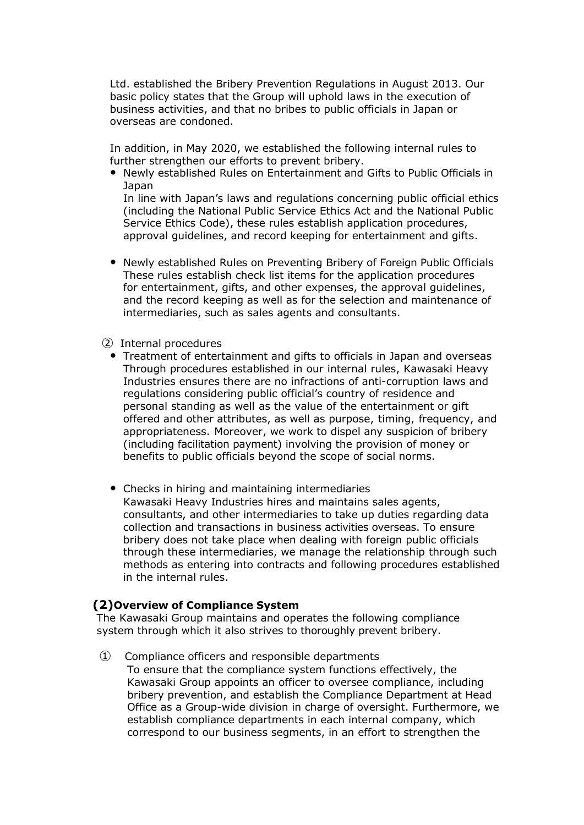Ltd. established the Bribery Prevention Regulations in August 2013. Our basic policy states that the Group will uphold laws in the execution of business activities, and that no bribes to public officials in Japan or overseas are condoned.

In addition, in May 2020, we established the following internal rules to further strengthen our efforts to prevent bribery.

 Newly established Rules on Entertainment and Gifts to Public Officials in Japan

In line with Japan's laws and regulations concerning public official ethics (including the National Public Service Ethics Act and the National Public Service Ethics Code), these rules establish application procedures, approval guidelines, and record keeping for entertainment and gifts.

- Newly established Rules on Preventing Bribery of Foreign Public Officials These rules establish check list items for the application procedures for entertainment, gifts, and other expenses, the approval guidelines, and the record keeping as well as for the selection and maintenance of intermediaries, such as sales agents and consultants.
- ② Internal procedures
	- Treatment of entertainment and gifts to officials in Japan and overseas Through procedures established in our internal rules, Kawasaki Heavy Industries ensures there are no infractions of anti-corruption laws and regulations considering public official's country of residence and personal standing as well as the value of the entertainment or gift offered and other attributes, as well as purpose, timing, frequency, and appropriateness. Moreover, we work to dispel any suspicion of bribery (including facilitation payment) involving the provision of money or benefits to public officials beyond the scope of social norms.
	- Checks in hiring and maintaining intermediaries Kawasaki Heavy Industries hires and maintains sales agents, consultants, and other intermediaries to take up duties regarding data collection and transactions in business activities overseas. To ensure bribery does not take place when dealing with foreign public officials through these intermediaries, we manage the relationship through such methods as entering into contracts and following procedures established in the internal rules.

#### **(2)Overview of Compliance System**

The Kawasaki Group maintains and operates the following compliance system through which it also strives to thoroughly prevent bribery.

① Compliance officers and responsible departments To ensure that the compliance system functions effectively, the Kawasaki Group appoints an officer to oversee compliance, including bribery prevention, and establish the Compliance Department at Head Office as a Group-wide division in charge of oversight. Furthermore, we establish compliance departments in each internal company, which correspond to our business segments, in an effort to strengthen the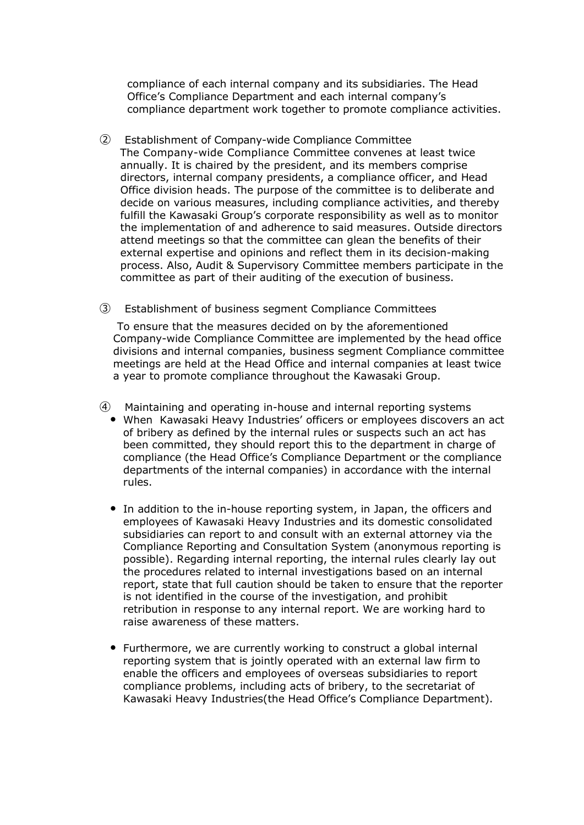compliance of each internal company and its subsidiaries. The Head Office's Compliance Department and each internal company's compliance department work together to promote compliance activities.

- ② Establishment of Company-wide Compliance Committee The Company-wide Compliance Committee convenes at least twice annually. It is chaired by the president, and its members comprise directors, internal company presidents, a compliance officer, and Head Office division heads. The purpose of the committee is to deliberate and decide on various measures, including compliance activities, and thereby fulfill the Kawasaki Group's corporate responsibility as well as to monitor the implementation of and adherence to said measures. Outside directors attend meetings so that the committee can glean the benefits of their external expertise and opinions and reflect them in its decision-making process. Also, Audit & Supervisory Committee members participate in the committee as part of their auditing of the execution of business.
- ③ Establishment of business segment Compliance Committees

To ensure that the measures decided on by the aforementioned Company-wide Compliance Committee are implemented by the head office divisions and internal companies, business segment Compliance committee meetings are held at the Head Office and internal companies at least twice a year to promote compliance throughout the Kawasaki Group.

- ④ Maintaining and operating in-house and internal reporting systems
	- When Kawasaki Heavy Industries' officers or employees discovers an act of bribery as defined by the internal rules or suspects such an act has been committed, they should report this to the department in charge of compliance (the Head Office's Compliance Department or the compliance departments of the internal companies) in accordance with the internal rules.
	- In addition to the in-house reporting system, in Japan, the officers and employees of Kawasaki Heavy Industries and its domestic consolidated subsidiaries can report to and consult with an external attorney via the Compliance Reporting and Consultation System (anonymous reporting is possible). Regarding internal reporting, the internal rules clearly lay out the procedures related to internal investigations based on an internal report, state that full caution should be taken to ensure that the reporter is not identified in the course of the investigation, and prohibit retribution in response to any internal report. We are working hard to raise awareness of these matters.
	- Furthermore, we are currently working to construct a global internal reporting system that is jointly operated with an external law firm to enable the officers and employees of overseas subsidiaries to report compliance problems, including acts of bribery, to the secretariat of Kawasaki Heavy Industries(the Head Office's Compliance Department).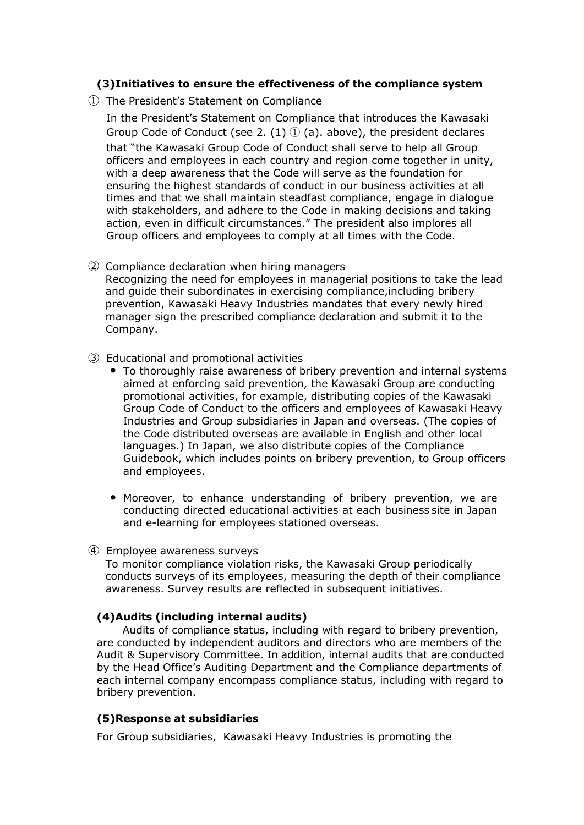## **(3)Initiatives to ensure the effectiveness of the compliance system**

① The President's Statement on Compliance

In the President's Statement on Compliance that introduces the Kawasaki Group Code of Conduct (see 2. (1)  $\oplus$  (a). above), the president declares that "the Kawasaki Group Code of Conduct shall serve to help all Group officers and employees in each country and region come together in unity, with a deep awareness that the Code will serve as the foundation for ensuring the highest standards of conduct in our business activities at all times and that we shall maintain steadfast compliance, engage in dialogue with stakeholders, and adhere to the Code in making decisions and taking action, even in difficult circumstances." The president also implores all Group officers and employees to comply at all times with the Code.

② Compliance declaration when hiring managers

Recognizing the need for employees in managerial positions to take the lead and guide their subordinates in exercising compliance,including bribery prevention, Kawasaki Heavy Industries mandates that every newly hired manager sign the prescribed compliance declaration and submit it to the Company.

- ③ Educational and promotional activities
	- To thoroughly raise awareness of bribery prevention and internal systems aimed at enforcing said prevention, the Kawasaki Group are conducting promotional activities, for example, distributing copies of the Kawasaki Group Code of Conduct to the officers and employees of Kawasaki Heavy Industries and Group subsidiaries in Japan and overseas. (The copies of the Code distributed overseas are available in English and other local languages.) In Japan, we also distribute copies of the Compliance Guidebook, which includes points on bribery prevention, to Group officers and employees.
	- Moreover, to enhance understanding of bribery prevention, we are conducting directed educational activities at each business site in Japan and e-learning for employees stationed overseas.
- ④ Employee awareness surveys

To monitor compliance violation risks, the Kawasaki Group periodically conducts surveys of its employees, measuring the depth of their compliance awareness. Survey results are reflected in subsequent initiatives.

## **(4)Audits (including internal audits)**

Audits of compliance status, including with regard to bribery prevention, are conducted by independent auditors and directors who are members of the Audit & Supervisory Committee. In addition, internal audits that are conducted by the Head Office's Auditing Department and the Compliance departments of each internal company encompass compliance status, including with regard to bribery prevention.

## **(5)Response at subsidiaries**

For Group subsidiaries, Kawasaki Heavy Industries is promoting the